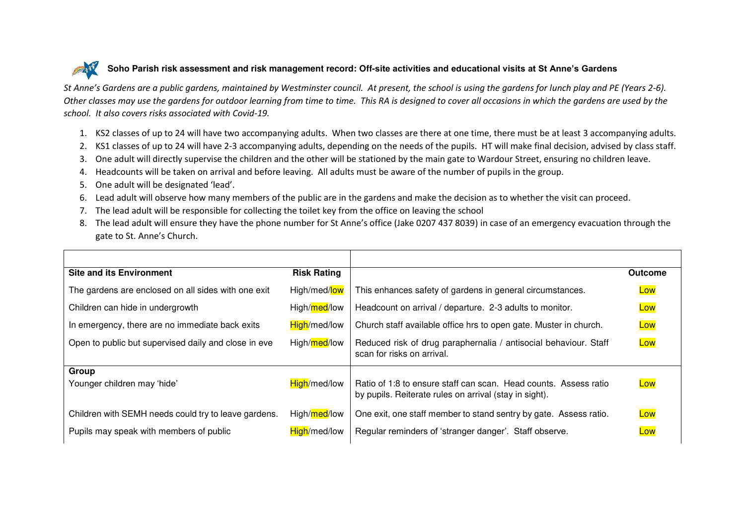## ATT **Soho Parish risk assessment and risk management record: Off-site activities and educational visits at St Anne's Gardens**

*St Anne's Gardens are a public gardens, maintained by Westminster council. At present, the school is using the gardens for lunch play and PE (Years 2-6). Other classes may use the gardens for outdoor learning from time to time. This RA is designed to cover all occasions in which the gardens are used by the school. It also covers risks associated with Covid-19.* 

- 1. KS2 classes of up to 24 will have two accompanying adults. When two classes are there at one time, there must be at least 3 accompanying adults.
- 2. KS1 classes of up to 24 will have 2-3 accompanying adults, depending on the needs of the pupils. HT will make final decision, advised by class staff.
- 3. One adult will directly supervise the children and the other will be stationed by the main gate to Wardour Street, ensuring no children leave.
- 4. Headcounts will be taken on arrival and before leaving. All adults must be aware of the number of pupils in the group.
- 5. One adult will be designated 'lead'.
- 6. Lead adult will observe how many members of the public are in the gardens and make the decision as to whether the visit can proceed.
- 7. The lead adult will be responsible for collecting the toilet key from the office on leaving the school
- 8. The lead adult will ensure they have the phone number for St Anne's office (Jake 0207 437 8039) in case of an emergency evacuation through the gate to St. Anne's Church.

| <b>Site and its Environment</b>                      | <b>Risk Rating</b> |                                                                                                                            | <b>Outcome</b> |
|------------------------------------------------------|--------------------|----------------------------------------------------------------------------------------------------------------------------|----------------|
| The gardens are enclosed on all sides with one exit  | High/med/low       | This enhances safety of gardens in general circumstances.                                                                  | Low            |
| Children can hide in undergrowth                     | High/med/low       | Headcount on arrival / departure. 2-3 adults to monitor.                                                                   | Low            |
| In emergency, there are no immediate back exits      | High/med/low       | Church staff available office hrs to open gate. Muster in church.                                                          | Low            |
| Open to public but supervised daily and close in eve | High/med/low       | Reduced risk of drug paraphernalia / antisocial behaviour. Staff<br>scan for risks on arrival.                             | Low            |
| Group                                                |                    |                                                                                                                            |                |
| Younger children may 'hide'                          | High/med/low       | Ratio of 1:8 to ensure staff can scan. Head counts. Assess ratio<br>by pupils. Reiterate rules on arrival (stay in sight). | Low            |
| Children with SEMH needs could try to leave gardens. | High/med/low       | One exit, one staff member to stand sentry by gate. Assess ratio.                                                          | Low            |
| Pupils may speak with members of public              | High/med/low       | Regular reminders of 'stranger danger'. Staff observe.                                                                     | Low            |